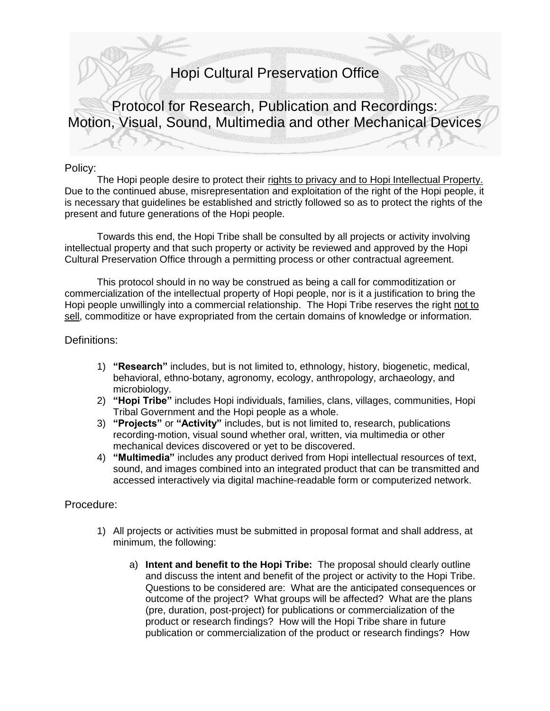## Hopi Cultural Preservation Office

Protocol for Research, Publication and Recordings: Motion, Visual, Sound, Multimedia and other Mechanical Devices

## Policy:

The Hopi people desire to protect their rights to privacy and to Hopi Intellectual Property. Due to the continued abuse, misrepresentation and exploitation of the right of the Hopi people, it is necessary that guidelines be established and strictly followed so as to protect the rights of the present and future generations of the Hopi people.

Towards this end, the Hopi Tribe shall be consulted by all projects or activity involving intellectual property and that such property or activity be reviewed and approved by the Hopi Cultural Preservation Office through a permitting process or other contractual agreement.

This protocol should in no way be construed as being a call for commoditization or commercialization of the intellectual property of Hopi people, nor is it a justification to bring the Hopi people unwillingly into a commercial relationship. The Hopi Tribe reserves the right not to sell, commoditize or have expropriated from the certain domains of knowledge or information.

## Definitions:

- 1) **"Research"** includes, but is not limited to, ethnology, history, biogenetic, medical, behavioral, ethno-botany, agronomy, ecology, anthropology, archaeology, and microbiology.
- 2) **"Hopi Tribe"** includes Hopi individuals, families, clans, villages, communities, Hopi Tribal Government and the Hopi people as a whole.
- 3) **"Projects"** or **"Activity"** includes, but is not limited to, research, publications recording-motion, visual sound whether oral, written, via multimedia or other mechanical devices discovered or yet to be discovered.
- 4) **"Multimedia"** includes any product derived from Hopi intellectual resources of text, sound, and images combined into an integrated product that can be transmitted and accessed interactively via digital machine-readable form or computerized network.

## Procedure:

- 1) All projects or activities must be submitted in proposal format and shall address, at minimum, the following:
	- a) **Intent and benefit to the Hopi Tribe:** The proposal should clearly outline and discuss the intent and benefit of the project or activity to the Hopi Tribe. Questions to be considered are: What are the anticipated consequences or outcome of the project? What groups will be affected? What are the plans (pre, duration, post-project) for publications or commercialization of the product or research findings? How will the Hopi Tribe share in future publication or commercialization of the product or research findings? How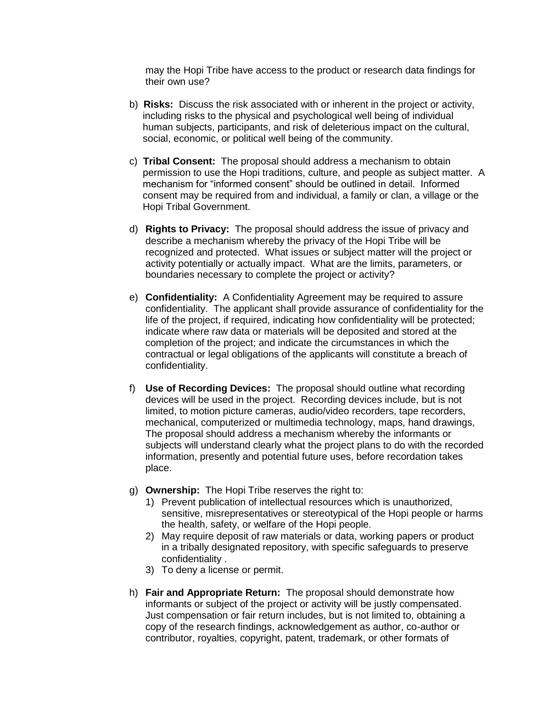may the Hopi Tribe have access to the product or research data findings for their own use?

- b) **Risks:** Discuss the risk associated with or inherent in the project or activity, including risks to the physical and psychological well being of individual human subjects, participants, and risk of deleterious impact on the cultural, social, economic, or political well being of the community.
- c) **Tribal Consent:** The proposal should address a mechanism to obtain permission to use the Hopi traditions, culture, and people as subject matter. A mechanism for "informed consent" should be outlined in detail. Informed consent may be required from and individual, a family or clan, a village or the Hopi Tribal Government.
- d) **Rights to Privacy:** The proposal should address the issue of privacy and describe a mechanism whereby the privacy of the Hopi Tribe will be recognized and protected. What issues or subject matter will the project or activity potentially or actually impact. What are the limits, parameters, or boundaries necessary to complete the project or activity?
- e) **Confidentiality:** A Confidentiality Agreement may be required to assure confidentiality. The applicant shall provide assurance of confidentiality for the life of the project, if required, indicating how confidentiality will be protected; indicate where raw data or materials will be deposited and stored at the completion of the project; and indicate the circumstances in which the contractual or legal obligations of the applicants will constitute a breach of confidentiality.
- f) **Use of Recording Devices:** The proposal should outline what recording devices will be used in the project. Recording devices include, but is not limited, to motion picture cameras, audio/video recorders, tape recorders, mechanical, computerized or multimedia technology, maps, hand drawings, The proposal should address a mechanism whereby the informants or subjects will understand clearly what the project plans to do with the recorded information, presently and potential future uses, before recordation takes place.
- g) **Ownership:** The Hopi Tribe reserves the right to:
	- 1) Prevent publication of intellectual resources which is unauthorized, sensitive, misrepresentatives or stereotypical of the Hopi people or harms the health, safety, or welfare of the Hopi people.
	- 2) May require deposit of raw materials or data, working papers or product in a tribally designated repository, with specific safeguards to preserve confidentiality .
	- 3) To deny a license or permit.
- h) **Fair and Appropriate Return:** The proposal should demonstrate how informants or subject of the project or activity will be justly compensated. Just compensation or fair return includes, but is not limited to, obtaining a copy of the research findings, acknowledgement as author, co-author or contributor, royalties, copyright, patent, trademark, or other formats of